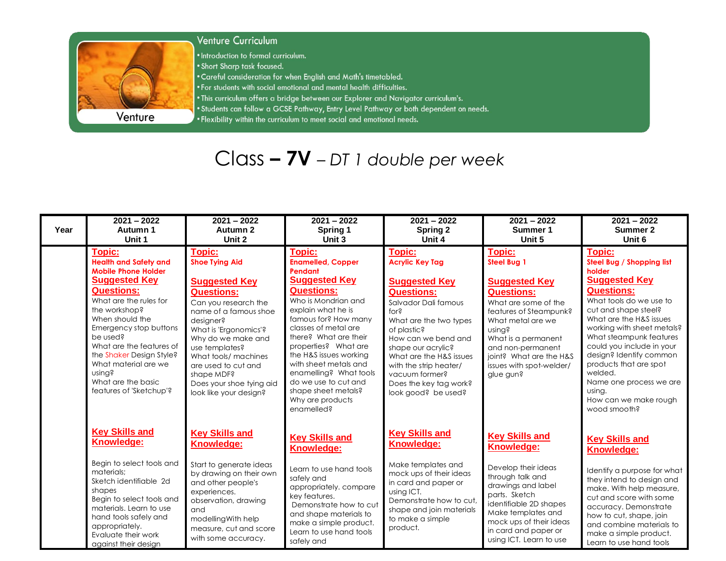

## Venture Curriculum

• Introduction to formal curriculum.

- . Short Sharp task focused.
- . Careful consideration for when English and Math's timetabled.
- . For students with social emotional and mental health difficulties.
- . This curriculum offers a bridge between our Explorer and Navigator curriculum's.
- . Students can follow a GCSE Pathway, Entry Level Pathway or both dependent on needs.
- . Flexibility within the curriculum to meet social and emotional needs.

## $Class - 7V - DT 1$  double per week

| Year | $2021 - 2022$<br>Autumn 1<br>Unit 1                                                                                                                                                                                                                                                                                                                                     | $2021 - 2022$<br>Autumn 2<br>Unit 2                                                                                                                                                                                                                                                                                            | $2021 - 2022$<br>Spring 1<br>Unit 3                                                                                                                                                                                                                                                                                                                                                             | $2021 - 2022$<br><b>Spring 2</b><br>Unit 4                                                                                                                                                                                                                                                                                  | $2021 - 2022$<br>Summer 1<br>Unit 5                                                                                                                                                                                                                                               | $2021 - 2022$<br>Summer 2<br>Unit 6                                                                                                                                                                                                                                                                                                                                                                 |
|------|-------------------------------------------------------------------------------------------------------------------------------------------------------------------------------------------------------------------------------------------------------------------------------------------------------------------------------------------------------------------------|--------------------------------------------------------------------------------------------------------------------------------------------------------------------------------------------------------------------------------------------------------------------------------------------------------------------------------|-------------------------------------------------------------------------------------------------------------------------------------------------------------------------------------------------------------------------------------------------------------------------------------------------------------------------------------------------------------------------------------------------|-----------------------------------------------------------------------------------------------------------------------------------------------------------------------------------------------------------------------------------------------------------------------------------------------------------------------------|-----------------------------------------------------------------------------------------------------------------------------------------------------------------------------------------------------------------------------------------------------------------------------------|-----------------------------------------------------------------------------------------------------------------------------------------------------------------------------------------------------------------------------------------------------------------------------------------------------------------------------------------------------------------------------------------------------|
|      | <b>Topic:</b><br><b>Health and Safety and</b><br><b>Mobile Phone Holder</b><br><b>Suggested Key</b><br><b>Questions:</b><br>What are the rules for<br>the workshop?<br>When should the<br>Emergency stop buttons<br>be used?<br>What are the features of<br>the Shaker Design Style?<br>What material are we<br>using?<br>What are the basic<br>features of 'Sketchup'? | Topic:<br><b>Shoe Tying Aid</b><br><b>Suggested Key</b><br><b>Questions:</b><br>Can you research the<br>name of a famous shoe<br>designer?<br>What is 'Ergonomics'?<br>Why do we make and<br>use templates?<br>What tools/ machines<br>are used to cut and<br>shape MDF?<br>Does your shoe tying aid<br>look like your design? | <b>Topic:</b><br><b>Enamelled, Copper</b><br>Pendant<br><b>Suggested Key</b><br><b>Questions:</b><br>Who is Mondrian and<br>explain what he is<br>famous for? How many<br>classes of metal are<br>there? What are their<br>properties? What are<br>the H&S issues working<br>with sheet metals and<br>enamelling? What tools<br>do we use to cut and<br>shape sheet metals?<br>Why are products | Topic:<br><b>Acrylic Key Tag</b><br><b>Suggested Key</b><br><b>Questions:</b><br>Salvador Dali famous<br>for?<br>What are the two types<br>of plastic?<br>How can we bend and<br>shape our acrylic?<br>What are the H&S issues<br>with the strip heater/<br>vacuum former?<br>Does the key tag work?<br>look good? be used? | <b>Topic:</b><br><b>Steel Bua 1</b><br><b>Suggested Key</b><br><b>Questions:</b><br>What are some of the<br>features of Steampunk?<br>What metal are we<br>using?<br>What is a permanent<br>and non-permanent<br>joint? What are the H&S<br>issues with spot-welder/<br>glue gun? | <b>Topic:</b><br>Steel Bug / Shopping list<br>holder<br><b>Suggested Key</b><br><b>Questions:</b><br>What tools do we use to<br>cut and shape steel?<br>What are the H&S issues<br>working with sheet metals?<br>What steampunk features<br>could you include in your<br>design? Identify common<br>products that are spot<br>welded.<br>Name one process we are<br>using.<br>How can we make rough |
|      | <b>Key Skills and</b><br>Knowledge:<br>Begin to select tools and<br>materials:<br>Sketch identifiable 2d<br>shapes<br>Begin to select tools and<br>materials. Learn to use<br>hand tools safely and<br>appropriately.<br>Evaluate their work<br>against their design                                                                                                    | <b>Key Skills and</b><br>Knowledge:<br>Start to generate ideas<br>by drawing on their own<br>and other people's<br>experiences.<br>observation, drawing<br>and<br>modelling With help<br>measure, cut and score<br>with some accuracy.                                                                                         | enamelled?<br><b>Key Skills and</b><br>Knowledge:<br>Learn to use hand tools<br>safely and<br>appropriately, compare<br>key features.<br>Demonstrate how to cut<br>and shape materials to<br>make a simple product.<br>Learn to use hand tools<br>safely and                                                                                                                                    | <b>Key Skills and</b><br>Knowledge:<br>Make templates and<br>mock ups of their ideas<br>in card and paper or<br>using ICT.<br>Demonstrate how to cut,<br>shape and join materials<br>to make a simple<br>product.                                                                                                           | <b>Key Skills and</b><br><b>Knowledge:</b><br>Develop their ideas<br>through talk and<br>drawings and label<br>parts. Sketch<br>identifiable 2D shapes<br>Make templates and<br>mock ups of their ideas<br>in card and paper or<br>using ICT. Learn to use                        | wood smooth?<br><b>Key Skills and</b><br><b>Knowledge:</b><br>Identify a purpose for what<br>they intend to design and<br>make. With help measure,<br>cut and score with some<br>accuracy. Demonstrate<br>how to cut, shape, join<br>and combine materials to<br>make a simple product.<br>Learn to use hand tools                                                                                  |